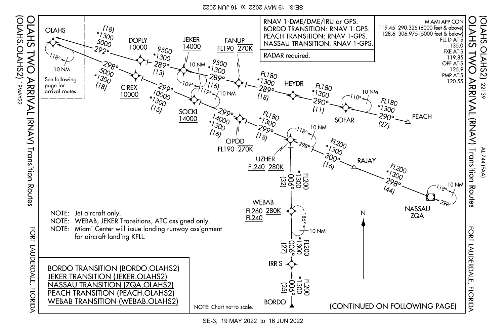SE-3, 19 MAY 2022 to 16 JUN 2022

(OLAHS.OLAHS2)

771<br>WWA



SE-3, 19 MAY 2022 to 16 JUN 2022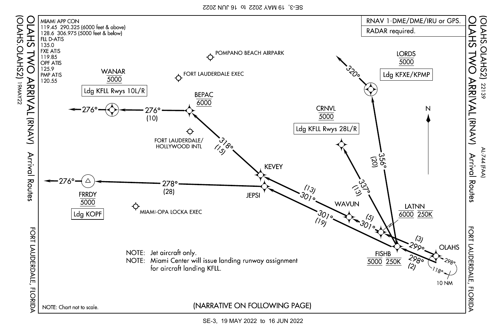SE-3, 19 MAY 2022 to 16 JUN 2022

(OLAHS.OLAHS2)

771<br>WWA



SE-3, 19 MAY 2022 to 16 JUN 2022